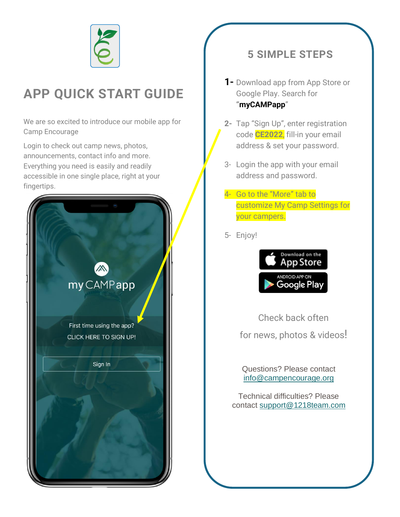

# **APP QUICK START GUIDE**

We are so excited to introduce our mobile app for Camp Encourage

Login to check out camp news, photos, announcements, contact info and more. Everything you need is easily and readily accessible in one single place, right at your fingertips.



## **5 SIMPLE STEPS**

- **1-** Download app from App Store or Google Play. Search for **"myCAMPapp**"
- **2-** Tap "Sign Up", enter registration code **CE2022**, fill-in your email address & set your password.
- 3- Login the app with your email address and password.
- 4- Go to the "More" tab to customize My Camp Settings for your campers.
- 5- Enjoy!



Check back often for news, photos & videos!

Questions? Please contact [info@campencourage.org](mailto:info@campencourage.org)

Technical difficulties? Please contact [support@1218team.com](mailto:support@1218team.com)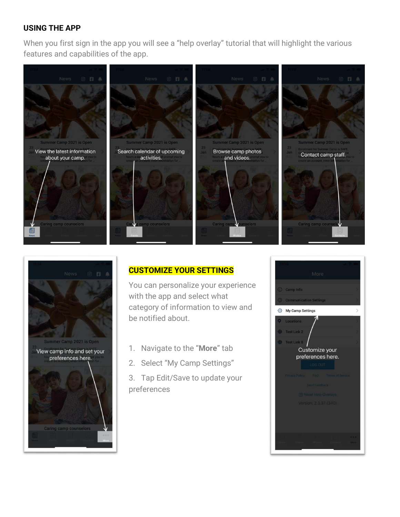#### **USING THE APP**

When you first sign in the app you will see a "help overlay" tutorial that will highlight the various features and capabilities of the app.





### **CUSTOMIZE YOUR SETTINGS**

You can personalize your experience with the app and select what category of information to view and be notified about.

- 1. Navigate to the "**More**" tab
- 2. Select "My Camp Settings"
- 3. Tap Edit/Save to update your preferences

![](_page_1_Picture_9.jpeg)